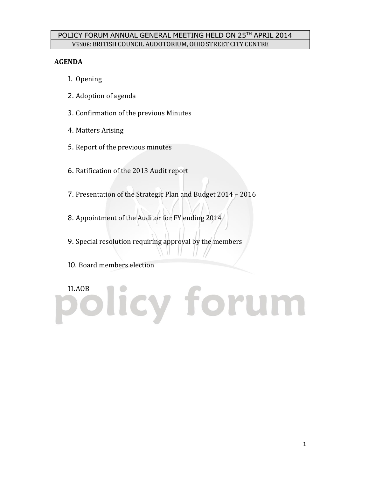# POLICY FORUM ANNUAL GENERAL MEETING HELD ON 25 TH APRIL 2014 VENUE: BRITISH COUNCIL AUDOTORIUM, OHIO STREET CITY CENTRE

## **AGENDA**

- 1. Opening
- 2. Adoption of agenda
- 3. Confirmation of the previous Minutes
- 4. Matters Arising
- 5. Report of the previous minutes
- 6. Ratification of the 2013 Audit report
- 7. Presentation of the Strategic Plan and Budget 2014 2016
- 8. Appointment of the Auditor for FY ending 2014
- 9. Special resolution requiring approval by the members
- 10. Board members election

# 11.AOB licy forum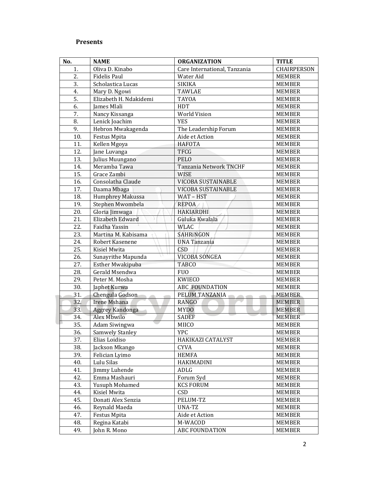# **Presents**

| No. | <b>NAME</b>            | <b>ORGANIZATION</b>          | <b>TITLE</b>  |
|-----|------------------------|------------------------------|---------------|
| 1.  | Oliva D. Kinabo        | Care International, Tanzania | CHAIRPERSON   |
| 2.  | <b>Fidelis Paul</b>    | Water Aid                    | <b>MEMBER</b> |
| 3.  | Scholastica Lucas      | <b>SIKIKA</b>                | <b>MEMBER</b> |
| 4.  | Mary D. Ngowi          | <b>TAWLAE</b>                | <b>MEMBER</b> |
| 5.  | Elizabeth H. Ndakidemi | <b>TAYOA</b>                 | <b>MEMBER</b> |
| 6.  | James Mlali            | HDT                          | <b>MEMBER</b> |
| 7.  | Nancy Kissanga         | <b>World Vision</b>          | <b>MEMBER</b> |
| 8.  | Lenick Joachim         | <b>YES</b>                   | <b>MEMBER</b> |
| 9.  | Hebron Mwakagenda      | The Leadership Forum         | <b>MEMBER</b> |
| 10. | Festus Mpita           | Aide et Action               | <b>MEMBER</b> |
| 11. | Kellen Mgoya           | <b>HAFOTA</b>                | <b>MEMBER</b> |
| 12. | Jane Luvanga           | <b>TFCG</b>                  | <b>MEMBER</b> |
| 13. | Julius Muungano        | <b>PELO</b>                  | <b>MEMBER</b> |
| 14. | Meramba Tawa           | Tanzania Network TNCHF       | <b>MEMBER</b> |
| 15. | Grace Zambi            | <b>WISE</b>                  | <b>MEMBER</b> |
| 16. | Consolatha Claude      | VICOBA SUSTAINABLE           | <b>MEMBER</b> |
| 17. | Daama Mbaga            | VICOBA SUSTAINABLE           | <b>MEMBER</b> |
| 18. | Humphrey Makussa       | WAT-HST                      | <b>MEMBER</b> |
| 19. | Stephen Mwombela       | <b>REPOA</b>                 | <b>MEMBER</b> |
| 20. | Gloria Jimwaga         | <b>HAKIARDHI</b>             | <b>MEMBER</b> |
| 21. | Elizabeth Edward       | Guluka Kwalala               | <b>MEMBER</b> |
| 22. | Faidha Yassin          | <b>WLAC</b>                  | <b>MEMBER</b> |
| 23. | Martina M. Kabisama    | SAHRINGON                    | <b>MEMBER</b> |
| 24. | Robert Kasenene        | <b>UNA Tanzania</b>          | <b>MEMBER</b> |
| 25. | Kisiel Mwita           | <b>CSD</b>                   | <b>MEMBER</b> |
| 26. | Sunayrithe Mapunda     | VICOBA SONGEA                | <b>MEMBER</b> |
| 27. | Esther Mwakipuba       | <b>TABCO</b>                 | <b>MEMBER</b> |
| 28. | Gerald Msendwa         | <b>FUO</b>                   | <b>MEMBER</b> |
| 29. | Peter M. Mosha         | <b>KWIECO</b>                | <b>MEMBER</b> |
| 30. | Japhet Kurwa           | ABC FOUNDATION               | <b>MEMBER</b> |
| 31. | Chengula Godson        | PELUM TANZANIA               | <b>MEMBER</b> |
| 32. | <b>Irene Mshana</b>    | <b>RANGO</b>                 | <b>MEMBER</b> |
| 33. | Aggrey Kandonga        | <b>MYDO</b>                  | <b>MEMBER</b> |
| 34. | Alex Mbwilo            | <b>SADEF</b>                 | <b>MEMBER</b> |
| 35. | Adam Siwingwa          | <b>MIICO</b>                 | <b>MEMBER</b> |
| 36. | Samwely Stanley        | <b>YPC</b>                   | <b>MEMBER</b> |
| 37. | Elias Loidiso          | HAKIKAZI CATALYST            | <b>MEMBER</b> |
| 38. | Jackson Mkango         | CYVA                         | MEMBER        |
| 39. | Felician Lyimo         | <b>HEMFA</b>                 | MEMBER        |
| 40. | Lulu Silas             | HAKIMADINI                   | MEMBER        |
| 41. | Jimmy Luhende          | ADLG                         | MEMBER        |
| 42. | Emma Mashauri          | Forum Syd                    | <b>MEMBER</b> |
| 43. | Yusuph Mohamed         | <b>KCS FORUM</b>             | MEMBER        |
| 44. | Kisiel Mwita           | CSD                          | <b>MEMBER</b> |
| 45. | Donati Alex Senzia     | PELUM-TZ                     | MEMBER        |
| 46. | Reynald Maeda          | UNA-TZ                       | <b>MEMBER</b> |
| 47. | Festus Mpita           | Aide et Action               | <b>MEMBER</b> |
| 48. | Regina Katabi          | M-WACOD                      | MEMBER        |
| 49. | John R. Mono           | ABC FOUNDATION               | <b>MEMBER</b> |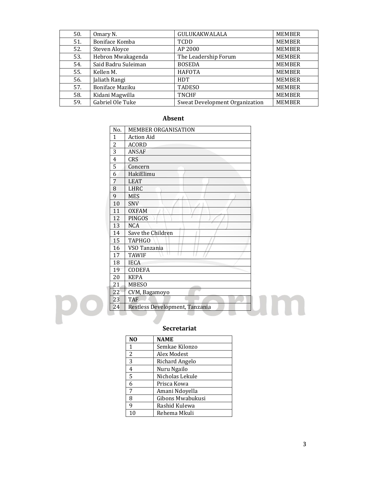| 50. | Omary N.               | GULUKAKWALALA                  | <b>MEMBER</b> |
|-----|------------------------|--------------------------------|---------------|
| 51. | Boniface Komba         | TCDD                           | <b>MEMBER</b> |
| 52. | Steven Aloyce          | AP 2000                        | <b>MEMBER</b> |
| 53. | Hebron Mwakagenda      | The Leadership Forum           | <b>MEMBER</b> |
| 54. | Said Badru Suleiman    | <b>BOSEDA</b>                  | <b>MEMBER</b> |
| 55. | Kellen M.              | <b>HAFOTA</b>                  | <b>MEMBER</b> |
| 56. | Jaliath Rangi          | <b>HDT</b>                     | <b>MEMBER</b> |
| 57. | <b>Boniface Maziku</b> | <b>TADESO</b>                  | <b>MEMBER</b> |
| 58. | Kidani Magwilla        | <b>TNCHF</b>                   | <b>MEMBER</b> |
| 59. | Gabriel Ole Tuke       | Sweat Development Organization | <b>MEMBER</b> |

# **Absent**

| No.            | <b>MEMBER ORGANISATION</b>     |
|----------------|--------------------------------|
| 1              | <b>Action Aid</b>              |
| 2              | <b>ACORD</b>                   |
| 3              | ANSAF                          |
| $\overline{4}$ | <b>CRS</b>                     |
| 5              | Concern                        |
| 6              | HakiElimu                      |
| 7              | <b>LEAT</b>                    |
| 8              | LHRC                           |
| 9              | <b>MES</b>                     |
| 10             | <b>SNV</b>                     |
| 11             | <b>OXFAM</b>                   |
| 12             | PINGOS                         |
| 13             | <b>NCA</b>                     |
| 14             | Save the Children              |
| 15             | <b>TAPHGO</b>                  |
| 16             | VSO Tanzania                   |
| 17             | <b>TAWIF</b>                   |
| 18             | <b>IECA</b>                    |
| 19             | <b>CODEFA</b>                  |
| 20             | <b>KEPA</b>                    |
| 21             | <b>MBESO</b>                   |
| 22             | CVM, Bagamoyo                  |
| 23             | <b>TAF</b>                     |
| 24             | Restless Development, Tanzania |

# **Secretariat**

| N <sub>O</sub> | NAME             |
|----------------|------------------|
| 1              | Semkae Kilonzo   |
| 2              | Alex Modest      |
| 3              | Richard Angelo   |
| 4              | Nuru Ngailo      |
| 5              | Nicholas Lekule  |
| 6              | Prisca Kowa      |
| 7              | Amani Ndoyella   |
| 8              | Gibons Mwabukusi |
| 9              | Rashid Kulewa    |
| 10             | Rehema Mkuli     |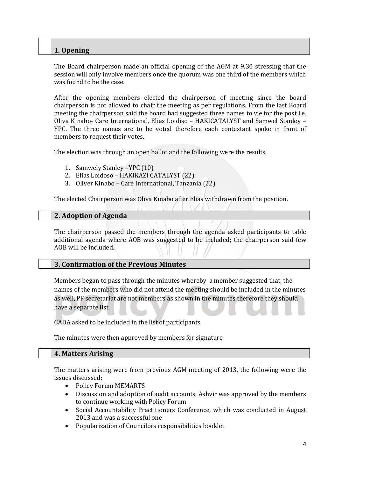## **1. Opening**

The Board chairperson made an official opening of the AGM at 9.30 stressing that the session will only involve members once the quorum was one third of the members which was found to be the case.

After the opening members elected the chairperson of meeting since the board chairperson is not allowed to chair the meeting as per regulations. From the last Board meeting the chairperson said the board had suggested three names to vie for the post i.e. Oliva Kinabo- Care International, Elias Loidiso – HAKICATALYST and Samwel Stanley – YPC. The three names are to be voted therefore each contestant spoke in front of members to request their votes.

The election was through an open ballot and the following were the results,

- 1. Samwely Stanley –YPC (10)
- 2. Elias Loidoso HAKIKAZI CATALYST (22)
- 3. Oliver Kinabo Care International, Tanzania (22)

The elected Chairperson was Oliva Kinabo after Elias withdrawn from the position.

#### **2. Adoption of Agenda**

The chairperson passed the members through the agenda asked participants to table additional agenda where AOB was suggested to be included; the chairperson said few AOB will be included.

### **3. Confirmation of the Previous Minutes**

Members began to pass through the minutes whereby a member suggested that, the names of the members who did not attend the meeting should be included in the minutes as well, PF secretariat are not members as shown in the minutes therefore they should have a separate list.

CADA asked to be included in the list of participants

The minutes were then approved by members for signature

#### **4. Matters Arising**

The matters arising were from previous AGM meeting of 2013, the following were the issues discussed;

- Policy Forum MEMARTS
- Discussion and adoption of audit accounts, Ashvir was approved by the members to continue working with Policy Forum
- Social Accountability Practitioners Conference, which was conducted in August 2013 and was a successful one
- Popularization of Councilors responsibilities booklet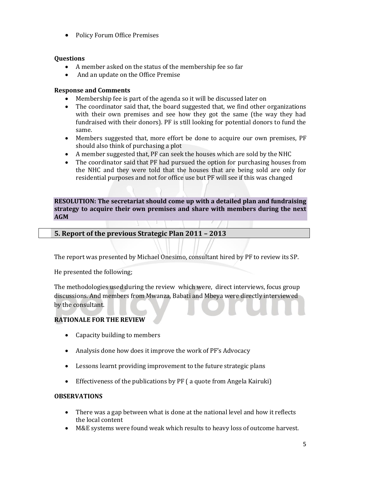• Policy Forum Office Premises

#### **Questions**

- A member asked on the status of the membership fee so far
- And an update on the Office Premise

#### **Response and Comments**

- Membership fee is part of the agenda so it will be discussed later on
- The coordinator said that, the board suggested that, we find other organizations with their own premises and see how they got the same (the way they had fundraised with their donors). PF is still looking for potential donors to fund the same.
- Members suggested that, more effort be done to acquire our own premises, PF should also think of purchasing a plot
- A member suggested that, PF can seek the houses which are sold by the NHC
- The coordinator said that PF had pursued the option for purchasing houses from the NHC and they were told that the houses that are being sold are only for residential purposes and not for office use but PF will see if this was changed

**RESOLUTION: The secretariat should come up with a detailed plan and fundraising strategy to acquire their own premises and share with members during the next AGM**

### **5. Report of the previous Strategic Plan 2011 – 2013**

The report was presented by Michael Onesimo, consultant hired by PF to review its SP.

He presented the following;

The methodologies used during the review which were, direct interviews, focus group discussions. And members from Mwanza, Babati and Mbeya were directly interviewed by the consultant.

#### **RATIONALE FOR THE REVIEW**

- Capacity building to members
- Analysis done how does it improve the work of PF's Advocacy
- Lessons learnt providing improvement to the future strategic plans
- Effectiveness of the publications by PF ( a quote from Angela Kairuki)

#### **OBSERVATIONS**

- There was a gap between what is done at the national level and how it reflects the local content
- M&E systems were found weak which results to heavy loss of outcome harvest.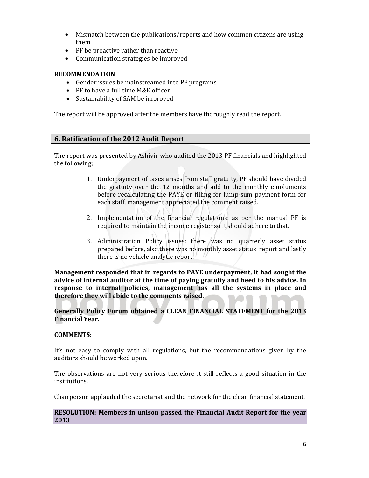- Mismatch between the publications/reports and how common citizens are using them
- PF be proactive rather than reactive
- Communication strategies be improved

#### **RECOMMENDATION**

- Gender issues be mainstreamed into PF programs
- PF to have a full time M&E officer
- Sustainability of SAM be improved

The report will be approved after the members have thoroughly read the report.

#### **6. Ratification of the 2012 Audit Report**

The report was presented by Ashivir who audited the 2013 PF financials and highlighted the following;

- 1. Underpayment of taxes arises from staff gratuity, PF should have divided the gratuity over the 12 months and add to the monthly emoluments before recalculating the PAYE or filling for lump-sum payment form for each staff, management appreciated the comment raised.
- 2. Implementation of the financial regulations: as per the manual PF is required to maintain the income register so it should adhere to that.
- 3. Administration Policy issues: there was no quarterly asset status prepared before, also there was no monthly asset status report and lastly there is no vehicle analytic report.

**Management responded that in regards to PAYE underpayment, it had sought the advice of internal auditor at the time of paying gratuity and heed to his advice. In response to internal policies, management has all the systems in place and therefore they will abide to the comments raised.**

**Generally Policy Forum obtained a CLEAN FINANCIAL STATEMENT for the 2013 Financial Year.**

#### **COMMENTS:**

It's not easy to comply with all regulations, but the recommendations given by the auditors should be worked upon.

The observations are not very serious therefore it still reflects a good situation in the institutions.

Chairperson applauded the secretariat and the network for the clean financial statement.

#### **RESOLUTION: Members in unison passed the Financial Audit Report for the year 2013**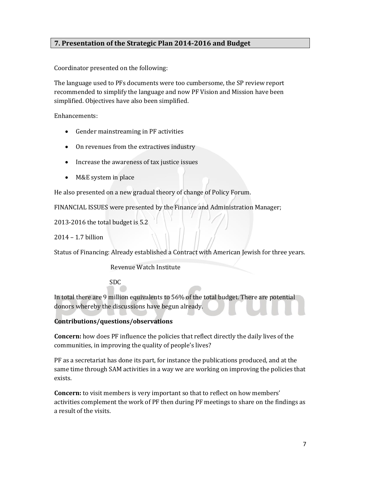# **7. Presentation of the Strategic Plan 2014-2016 and Budget**

Coordinator presented on the following:

The language used to PFs documents were too cumbersome, the SP review report recommended to simplify the language and now PF Vision and Mission have been simplified. Objectives have also been simplified.

Enhancements:

- Gender mainstreaming in PF activities
- On revenues from the extractives industry
- Increase the awareness of tax justice issues
- M&E system in place

He also presented on a new gradual theory of change of Policy Forum.

FINANCIAL ISSUES were presented by the Finance and Administration Manager;

2013-2016 the total budget is 5.2

2014 – 1.7 billion

Status of Financing: Already established a Contract with American Jewish for three years.

Revenue Watch Institute

SDC

In total there are 9 million equivalents to 56% of the total budget. There are potential donors whereby the discussions have begun already.

### **Contributions/questions/observations**

**Concern:** how does PF influence the policies that reflect directly the daily lives of the communities, in improving the quality of people's lives?

PF as a secretariat has done its part, for instance the publications produced, and at the same time through SAM activities in a way we are working on improving the policies that exists.

**Concern:** to visit members is very important so that to reflect on how members' activities complement the work of PF then during PF meetings to share on the findings as a result of the visits.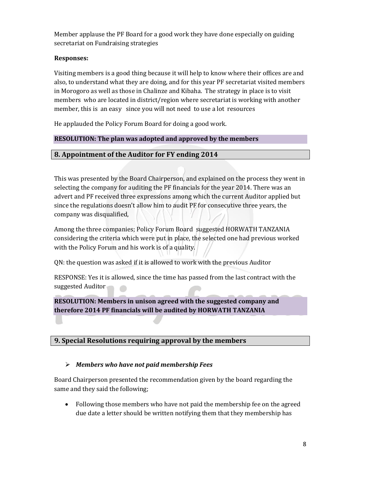Member applause the PF Board for a good work they have done especially on guiding secretariat on Fundraising strategies

## **Responses:**

Visiting members is a good thing because it will help to know where their offices are and also, to understand what they are doing, and for this year PF secretariat visited members in Morogoro as well as those in Chalinze and Kibaha. The strategy in place is to visit members who are located in district/region where secretariat is working with another member, this is an easy since you will not need to use a lot resources

He applauded the Policy Forum Board for doing a good work.

## **RESOLUTION: The plan was adopted and approved by the members**

## **8. Appointment of the Auditor for FY ending 2014**

This was presented by the Board Chairperson, and explained on the process they went in selecting the company for auditing the PF financials for the year 2014. There was an advert and PF received three expressions among which the current Auditor applied but since the regulations doesn't allow him to audit PF for consecutive three years, the company was disqualified,

Among the three companies; Policy Forum Board suggested HORWATH TANZANIA considering the criteria which were put in place, the selected one had previous worked with the Policy Forum and his work is of a quality.

QN: the question was asked if it is allowed to work with the previous Auditor

RESPONSE: Yes it is allowed, since the time has passed from the last contract with the suggested Auditor

# **RESOLUTION: Members in unison agreed with the suggested company and therefore 2014 PF financials will be audited by HORWATH TANZANIA**

## **9. Special Resolutions requiring approval by the members**

## ➢ *Members who have not paid membership Fees*

Board Chairperson presented the recommendation given by the board regarding the same and they said the following;

• Following those members who have not paid the membership fee on the agreed due date a letter should be written notifying them that they membership has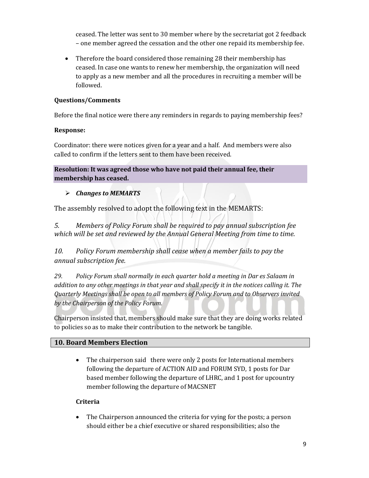ceased. The letter was sent to 30 member where by the secretariat got 2 feedback – one member agreed the cessation and the other one repaid its membership fee.

• Therefore the board considered those remaining 28 their membership has ceased. In case one wants to renew her membership, the organization will need to apply as a new member and all the procedures in recruiting a member will be followed.

## **Questions/Comments**

Before the final notice were there any reminders in regards to paying membership fees?

## **Response:**

Coordinator: there were notices given for a year and a half. And members were also called to confirm if the letters sent to them have been received.

**Resolution: It was agreed those who have not paid their annual fee, their membership has ceased.**

# ➢ *Changes to MEMARTS*

The assembly resolved to adopt the following text in the MEMARTS:

*5. Members of Policy Forum shall be required to pay annual subscription fee which will be set and reviewed by the Annual General Meeting from time to time.* 

*10. Policy Forum membership shall cease when a member fails to pay the annual subscription fee.*

*29. Policy Forum shall normally in each quarter hold a meeting in Dar es Salaam in addition to any other meetings in that year and shall specify it in the notices calling it. The Quarterly Meetings shall be open to all members of Policy Forum and to Observers invited by the Chairperson of the Policy Forum.*

Chairperson insisted that, members should make sure that they are doing works related to policies so as to make their contribution to the network be tangible.

# **10. Board Members Election**

• The chairperson said there were only 2 posts for International members following the departure of ACTION AID and FORUM SYD, 1 posts for Dar based member following the departure of LHRC, and 1 post for upcountry member following the departure of MACSNET

## **Criteria**

• The Chairperson announced the criteria for vying for the posts; a person should either be a chief executive or shared responsibilities; also the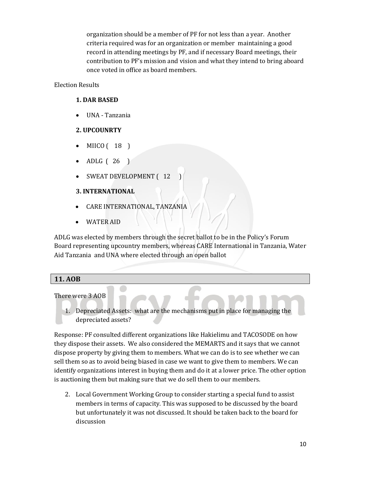organization should be a member of PF for not less than a year. Another criteria required was for an organization or member maintaining a good record in attending meetings by PF, and if necessary Board meetings, their contribution to PF's mission and vision and what they intend to bring aboard once voted in office as board members.

## Election Results

## **1. DAR BASED**

• UNA - Tanzania

## **2. UPCOUNRTY**

- MIICO ( 18 )
- ADLG ( 26 )
- SWEAT DEVELOPMENT (12

# **3. INTERNATIONAL**

- CARE INTERNATIONAL, TANZANIA
- WATER AID

ADLG was elected by members through the secret ballot to be in the Policy's Forum Board representing upcountry members, whereas CARE International in Tanzania, Water Aid Tanzania and UNA where elected through an open ballot

# **11. AOB**

### There were 3 AOB

1. Depreciated Assets: what are the mechanisms put in place for managing the depreciated assets?

Response: PF consulted different organizations like Hakielimu and TACOSODE on how they dispose their assets. We also considered the MEMARTS and it says that we cannot dispose property by giving them to members. What we can do is to see whether we can sell them so as to avoid being biased in case we want to give them to members. We can identify organizations interest in buying them and do it at a lower price. The other option is auctioning them but making sure that we do sell them to our members.

2. Local Government Working Group to consider starting a special fund to assist members in terms of capacity. This was supposed to be discussed by the board but unfortunately it was not discussed. It should be taken back to the board for discussion